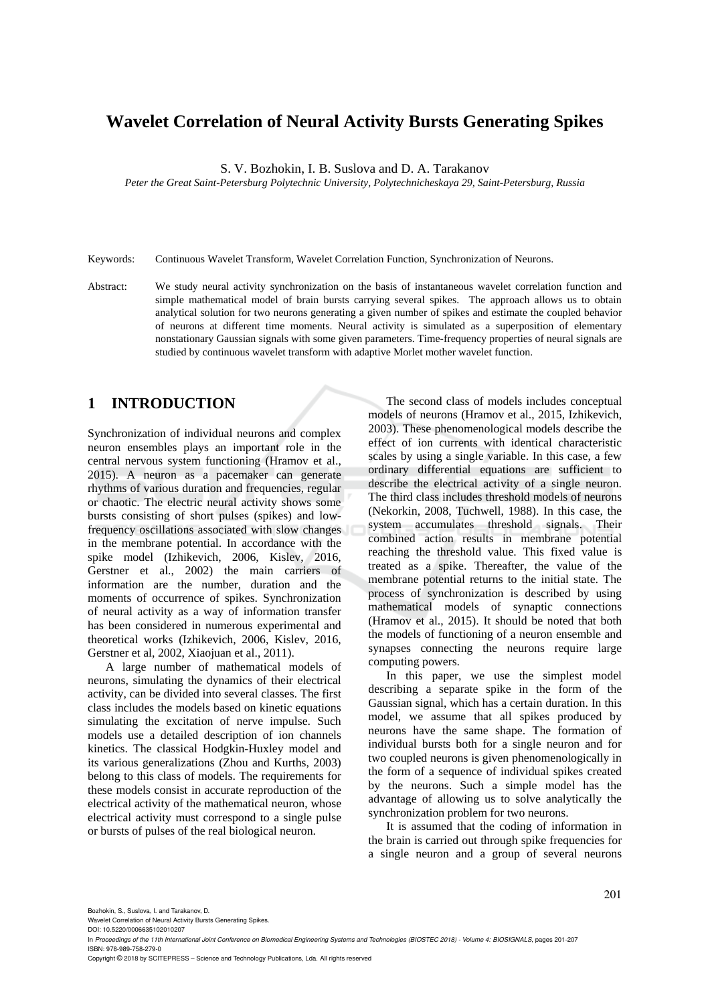# **Wavelet Correlation of Neural Activity Bursts Generating Spikes**

S. V. Bozhokin, I. B. Suslova and D. A. Tarakanov

*Peter the Great Saint-Petersburg Polytechnic University, Polytechnicheskaya 29, Saint-Petersburg, Russia*

Keywords: Continuous Wavelet Transform, Wavelet Correlation Function, Synchronization of Neurons.

Abstract: We study neural activity synchronization on the basis of instantaneous wavelet correlation function and simple mathematical model of brain bursts carrying several spikes. The approach allows us to obtain analytical solution for two neurons generating a given number of spikes and estimate the coupled behavior of neurons at different time moments. Neural activity is simulated as a superposition of elementary nonstationary Gaussian signals with some given parameters. Time-frequency properties of neural signals are studied by continuous wavelet transform with adaptive Morlet mother wavelet function.

# **1 INTRODUCTION**

Synchronization of individual neurons and complex neuron ensembles plays an important role in the central nervous system functioning (Hramov et al., 2015). A neuron as a pacemaker can generate rhythms of various duration and frequencies, regular or chaotic. The electric neural activity shows some bursts consisting of short pulses (spikes) and lowfrequency oscillations associated with slow changes in the membrane potential. In accordance with the spike model (Izhikevich, 2006, Kislev, 2016, Gerstner et al., 2002) the main carriers of information are the number, duration and the moments of occurrence of spikes. Synchronization of neural activity as a way of information transfer has been considered in numerous experimental and theoretical works (Izhikevich, 2006, Kislev, 2016, Gerstner et al, 2002, Xiaojuan et al., 2011).

A large number of mathematical models of neurons, simulating the dynamics of their electrical activity, can be divided into several classes. The first class includes the models based on kinetic equations simulating the excitation of nerve impulse. Such models use a detailed description of ion channels kinetics. The classical Hodgkin-Huxley model and its various generalizations (Zhou and Kurths, 2003) belong to this class of models. The requirements for these models consist in accurate reproduction of the electrical activity of the mathematical neuron, whose electrical activity must correspond to a single pulse or bursts of pulses of the real biological neuron.

The second class of models includes conceptual models of neurons (Hramov et al., 2015, Izhikevich, 2003). These phenomenological models describe the effect of ion currents with identical characteristic scales by using a single variable. In this case, a few ordinary differential equations are sufficient to describe the electrical activity of a single neuron. The third class includes threshold models of neurons (Nekorkin, 2008, Tuchwell, 1988). In this case, the system accumulates threshold signals. Their combined action results in membrane potential reaching the threshold value. This fixed value is treated as a spike. Thereafter, the value of the membrane potential returns to the initial state. The process of synchronization is described by using mathematical models of synaptic connections (Hramov et al., 2015). It should be noted that both the models of functioning of a neuron ensemble and synapses connecting the neurons require large computing powers.

In this paper, we use the simplest model describing a separate spike in the form of the Gaussian signal, which has a certain duration. In this model, we assume that all spikes produced by neurons have the same shape. The formation of individual bursts both for a single neuron and for two coupled neurons is given phenomenologically in the form of a sequence of individual spikes created by the neurons. Such a simple model has the advantage of allowing us to solve analytically the synchronization problem for two neurons.

It is assumed that the coding of information in the brain is carried out through spike frequencies for a single neuron and a group of several neurons

Bozhokin, S., Suslova, I. and Tarakanov, D.

Copyright © 2018 by SCITEPRESS – Science and Technology Publications, Lda. All rights reserved

Wavelet Correlation of Neural Activity Bursts Generating Spikes. DOI: 10.5220/0006635102010207

In *Proceedings of the 11th International Joint Conference on Biomedical Engineering Systems and Technologies (BIOSTEC 2018) - Volume 4: BIOSIGNALS*, pages 201-207 ISBN: 978-989-758-279-0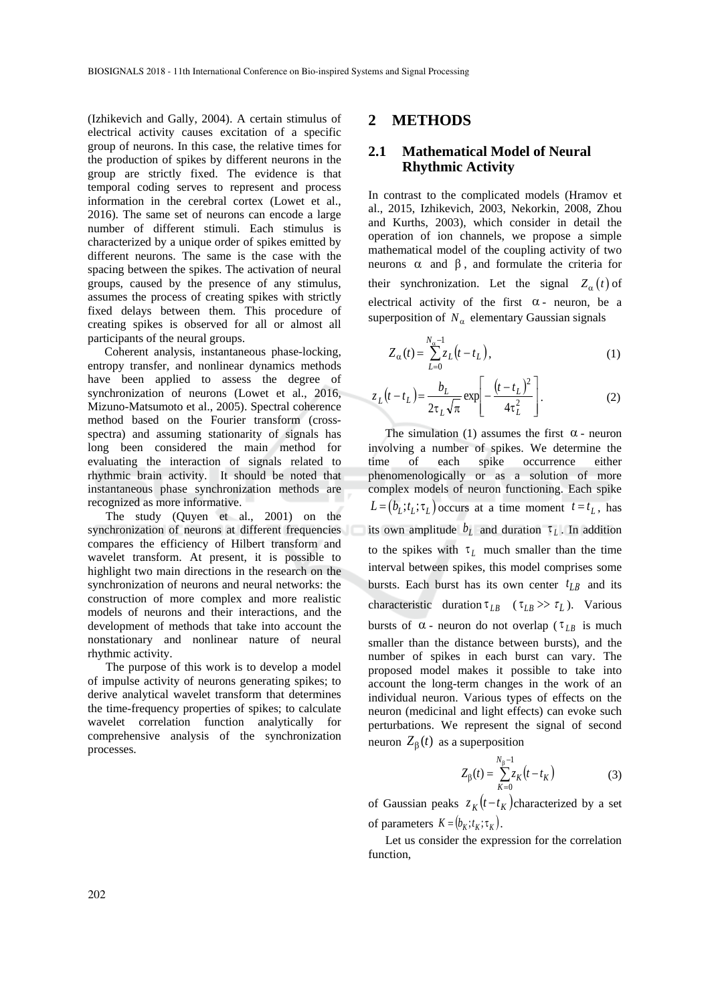(Izhikevich and Gally, 2004). A certain stimulus of electrical activity causes excitation of a specific group of neurons. In this case, the relative times for the production of spikes by different neurons in the group are strictly fixed. The evidence is that temporal coding serves to represent and process information in the cerebral cortex (Lowet et al., 2016). The same set of neurons can encode a large number of different stimuli. Each stimulus is characterized by a unique order of spikes emitted by different neurons. The same is the case with the spacing between the spikes. The activation of neural groups, caused by the presence of any stimulus, assumes the process of creating spikes with strictly fixed delays between them. This procedure of creating spikes is observed for all or almost all participants of the neural groups.

Coherent analysis, instantaneous phase-locking, entropy transfer, and nonlinear dynamics methods have been applied to assess the degree of synchronization of neurons (Lowet et al., 2016, Mizuno-Matsumoto et al., 2005). Spectral coherence method based on the Fourier transform (crossspectra) and assuming stationarity of signals has long been considered the main method for evaluating the interaction of signals related to rhythmic brain activity. It should be noted that instantaneous phase synchronization methods are recognized as more informative.

The study (Quyen et al., 2001) on the synchronization of neurons at different frequencies compares the efficiency of Hilbert transform and wavelet transform. At present, it is possible to highlight two main directions in the research on the synchronization of neurons and neural networks: the construction of more complex and more realistic models of neurons and their interactions, and the development of methods that take into account the nonstationary and nonlinear nature of neural rhythmic activity.

The purpose of this work is to develop a model of impulse activity of neurons generating spikes; to derive analytical wavelet transform that determines the time-frequency properties of spikes; to calculate wavelet correlation function analytically for comprehensive analysis of the synchronization processes.

#### **2 METHODS**

## **2.1 Mathematical Model of Neural Rhythmic Activity**

In contrast to the complicated models (Hramov et al., 2015, Izhikevich, 2003, Nekorkin, 2008, Zhou and Kurths, 2003), which consider in detail the operation of ion channels, we propose a simple mathematical model of the coupling activity of two neurons  $\alpha$  and  $\beta$ , and formulate the criteria for their synchronization. Let the signal  $Z_{\alpha}(t)$  of electrical activity of the first  $\alpha$ - neuron, be a superposition of  $N_{\alpha}$  elementary Gaussian signals

$$
Z_{\alpha}(t) = \sum_{L=0}^{N_{\alpha}-1} z_L(t - t_L),
$$
 (1)

$$
z_L(t - t_L) = \frac{b_L}{2\tau_L\sqrt{\pi}} \exp\left[-\frac{(t - t_L)^2}{4\tau_L^2}\right].
$$
 (2)

The simulation (1) assumes the first  $\alpha$  - neuron involving a number of spikes. We determine the time of each spike occurrence either phenomenologically or as a solution of more complex models of neuron functioning. Each spike  $L = (b_L; t_L; \tau_L)$  occurs at a time moment  $t = t_L$ , has its own amplitude  $b<sub>L</sub>$  and duration  $\tau<sub>L</sub>$ . In addition to the spikes with  $\tau_L$  much smaller than the time interval between spikes, this model comprises some bursts. Each burst has its own center  $t_{LB}$  and its characteristic duration  $\tau_{LB}$  ( $\tau_{LB} \gg \tau_L$ ). Various bursts of  $\alpha$  - neuron do not overlap ( $\tau_{LB}$  is much smaller than the distance between bursts), and the number of spikes in each burst can vary. The proposed model makes it possible to take into account the long-term changes in the work of an individual neuron. Various types of effects on the neuron (medicinal and light effects) can evoke such perturbations. We represent the signal of second neuron  $Z_{\beta}(t)$  as a superposition

$$
Z_{\beta}(t) = \sum_{K=0}^{N_{\beta}-1} z_K(t - t_K)
$$
 (3)

of Gaussian peaks  $z_K(t-t_K)$ characterized by a set of parameters  $K = (b_K; t_K; \tau_K)$ .

Let us consider the expression for the correlation function,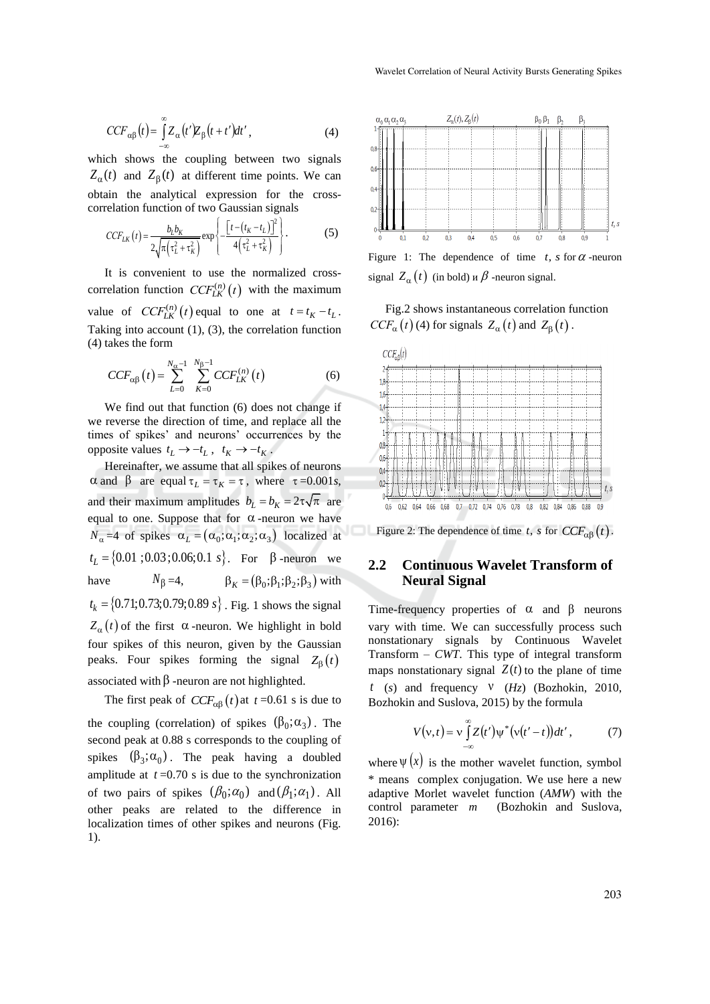$$
CCF_{\alpha\beta}(t) = \int_{-\infty}^{\infty} Z_{\alpha}(t')Z_{\beta}(t+t')dt', \qquad (4)
$$

which shows the coupling between two signals  $Z_{\alpha}(t)$  and  $Z_{\beta}(t)$  at different time points. We can obtain the analytical expression for the cross-

correlation function of two Gaussian signals  
\n
$$
CCF_{LK}(t) = \frac{b_L b_K}{2\sqrt{\pi(\tau_L^2 + \tau_K^2)}} \exp\left\{-\frac{\left[t - (t_K - t_L)\right]^2}{4(\tau_L^2 + \tau_K^2)}\right\}.
$$
\n(5)

It is convenient to use the normalized crosscorrelation function  $CCF_{LK}^{(n)}(t)$  with the maximum value of  $CCF_{LK}^{(n)}(t)$  equal to one at  $t = t_K - t_L$ . Taking into account (1), (3), the correlation function (4) takes the form

$$
CCF_{\alpha\beta}(t) = \sum_{L=0}^{N_{\alpha}-1} \sum_{K=0}^{N_{\beta}-1} CCF_{LK}^{(n)}(t)
$$
 (6)

We find out that function (6) does not change if we reverse the direction of time, and replace all the times of spikes' and neurons' occurrences by the opposite values  $t_L \rightarrow -t_L$ ,  $t_K \rightarrow -t_K$ .

Hereinafter, we assume that all spikes of neurons  $\alpha$  and  $\beta$  are equal  $\tau_L = \tau_K = \tau$ , where  $\tau = 0.001s$ , and their maximum amplitudes  $b_L = b_K = 2\tau\sqrt{\pi}$  are equal to one. Suppose that for  $\alpha$ -neuron we have  $N_{\alpha}$  =4 of spikes  $\alpha_L = (\alpha_0; \alpha_1; \alpha_2; \alpha_3)$  localized at  $t_L = \{0.01; 0.03; 0.06; 0.1 \text{ s}\}.$  For  $\beta$ -neuron we have  $N_{\beta} = 4,$   $\beta_K = (\beta_0; \beta_1; \beta_2; \beta_3)$  with  $t_k = \{0.71; 0.73; 0.79; 0.89 \text{ s}\}\$ . Fig. 1 shows the signal  $Z_{\alpha}(t)$  of the first  $\alpha$ -neuron. We highlight in bold four spikes of this neuron, given by the Gaussian peaks. Four spikes forming the signal  $Z_{\beta}(t)$ associated with  $\beta$  -neuron are not highlighted.

The first peak of  $CCF_{\alpha\beta}(t)$  at  $t = 0.61$  s is due to the coupling (correlation) of spikes  $(\beta_0; \alpha_3)$ . The second peak at 0.88 s corresponds to the coupling of spikes  $(\beta_3; \alpha_0)$ . The peak having a doubled amplitude at  $t = 0.70$  s is due to the synchronization of two pairs of spikes  $(\beta_0; \alpha_0)$  and  $(\beta_1; \alpha_1)$ . All other peaks are related to the difference in localization times of other spikes and neurons (Fig. 1).



Figure 1: The dependence of time  $t$ , s for  $\alpha$ -neuron signal  $Z_{\alpha}(t)$  (in bold)  $\alpha \beta$  -neuron signal.

Fig.2 shows instantaneous correlation function  $CCF_{\alpha}(t)$  (4) for signals  $Z_{\alpha}(t)$  and  $Z_{\beta}(t)$ .



Figure 2: The dependence of time *t*, *s* for  $CCF_{\alpha\beta}(t)$ .

#### **2.2 Continuous Wavelet Transform of Neural Signal**

Time-frequency properties of  $\alpha$  and  $\beta$  neurons vary with time. We can successfully process such nonstationary signals by Continuous Wavelet Transform – *CWT*. This type of integral transform maps nonstationary signal  $Z(t)$  to the plane of time  $t$  ( $s$ ) and frequency  $V$  ( $Hz$ ) (Bozhokin, 2010, Bozhokin and Suslova, 2015) by the formula

$$
V(v,t) = v \int_{-\infty}^{\infty} Z(t') \psi^* (v(t'-t)) dt', \qquad (7)
$$

where  $\Psi(x)$  is the mother wavelet function, symbol \* means complex conjugation. We use here a new adaptive Morlet wavelet function (*AMW*) with the control parameter  $m$ *m* (Bozhokin and Suslova, 2016):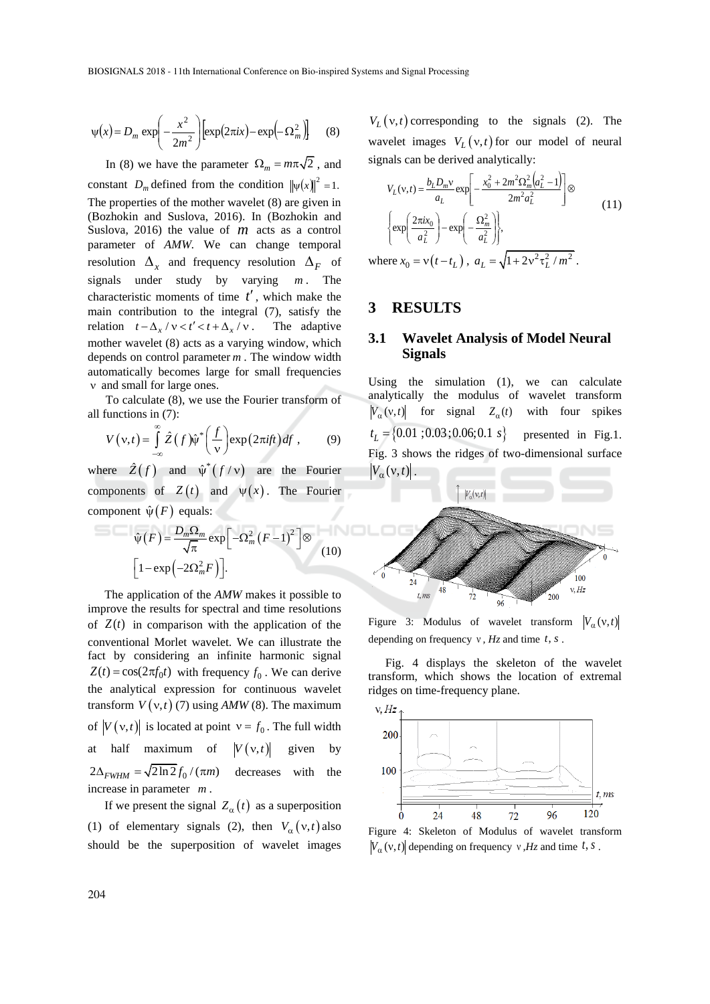$$
\psi(x) = D_m \exp\left(-\frac{x^2}{2m^2}\right) \left[\exp(2\pi ix) - \exp(-\Omega_m^2)\right] \tag{8}
$$

In (8) we have the parameter  $\Omega_m = m\pi\sqrt{2}$ , and constant  $D_m$  defined from the condition  $\|\psi(x)\|^2 = 1$ . The properties of the mother wavelet (8) are given in (Bozhokin and Suslova, 2016). In (Bozhokin and Suslova, 2016) the value of *m* acts as a control parameter of *AMW.* We can change temporal resolution  $\Delta_x$  and frequency resolution  $\Delta_F$  of signals under study by varying *m* . The characteristic moments of time *t* , which make the main contribution to the integral (7), satisfy the relation  $t - \Delta_x / v < t' < t + \Delta_x / v$ . The adaptive mother wavelet (8) acts as a varying window, which depends on control parameter *m* . The window width automatically becomes large for small frequencies v and small for large ones.

To calculate (8), we use the Fourier transform of all functions in (7):

functions in (7).  
\n
$$
V(v,t) = \int_{-\infty}^{\infty} \hat{Z}(f)\hat{v}^* \left(\frac{f}{v}\right) \exp(2\pi i f t) df,
$$
\n(9)

where  $\hat{Z}(f)$  and  $\hat{\psi}^*(f/\nu)$  are the Fourier components of  $Z(t)$  and  $\psi(x)$ . The Fourier component  $\hat{\psi}(F)$  equals:

$$
\hat{\psi}(F) = \frac{D_m \Omega_m}{\sqrt{\pi}} \exp\left[-\Omega_m^2 (F-1)^2\right] \otimes
$$
\n
$$
\left[1 - \exp\left(-2\Omega_m^2 F\right)\right].
$$
\n(10)

The application of the *AMW* makes it possible to improve the results for spectral and time resolutions of  $Z(t)$  in comparison with the application of the conventional Morlet wavelet. We can illustrate the fact by considering an infinite harmonic signal  $Z(t) = \cos(2\pi f_0 t)$  with frequency  $f_0$ . We can derive the analytical expression for continuous wavelet transform  $V(v,t)$  (7) using  $AMW(8)$ . The maximum of  $|V(v,t)|$  is located at point  $v = f_0$ . The full width at half maximum of  $V(v,t)$ given by  $2\Delta_{FWHM} = \sqrt{2\ln 2} f_0 / (\pi m)$ decreases with the increase in parameter *m* .

If we present the signal  $Z_{\alpha}(t)$  as a superposition (1) of elementary signals (2), then  $V_\alpha(v,t)$  also should be the superposition of wavelet images

 $V_L(v,t)$  corresponding to the signals (2). The wavelet images  $V_L(v,t)$  for our model of neural signals can be derived analytically:

$$
V_{L}(v,t) = \frac{b_{L}D_{m}v}{a_{L}} \exp\left[-\frac{x_{0}^{2} + 2m^{2}\Omega_{m}^{2}(a_{L}^{2} - 1)}{2m^{2}a_{L}^{2}}\right] \otimes
$$
\n
$$
\left\{\exp\left(\frac{2\pi ix_{0}}{a_{L}^{2}}\right) - \exp\left(-\frac{\Omega_{m}^{2}}{a_{L}^{2}}\right)\right\},
$$
\n
$$
\text{where } x_{0} = v(t - t_{L}), \ a_{L} = \sqrt{1 + 2v^{2}\tau_{L}^{2}/m^{2}}.
$$
\n(11)

### **3 RESULTS**

#### **3.1 Wavelet Analysis of Model Neural Signals**

Using the simulation (1), we can calculate analytically the modulus of wavelet transform  $V_{\alpha}(v,t)$  for signal  $Z_{\alpha}(t)$  with four spikes  $t_L = \{0.01; 0.03; 0.06; 0.1 \text{ s}\}$  presented in Fig.1. Fig. 3 shows the ridges of two-dimensional surface  $|V_{\alpha}(v,t)|$ .



Figure 3: Modulus of wavelet transform  $V_{\alpha}(v,t)$ depending on frequency  $v$ ,  $Hz$  and time  $t$ ,  $s$ .

Fig. 4 displays the skeleton of the wavelet transform, which shows the location of extremal ridges on time-frequency plane.



Figure 4: Skeleton of Modulus of wavelet transform  $|V_{\alpha}(v,t)|$  depending on frequency  $v, Hz$  and time  $t, s$ .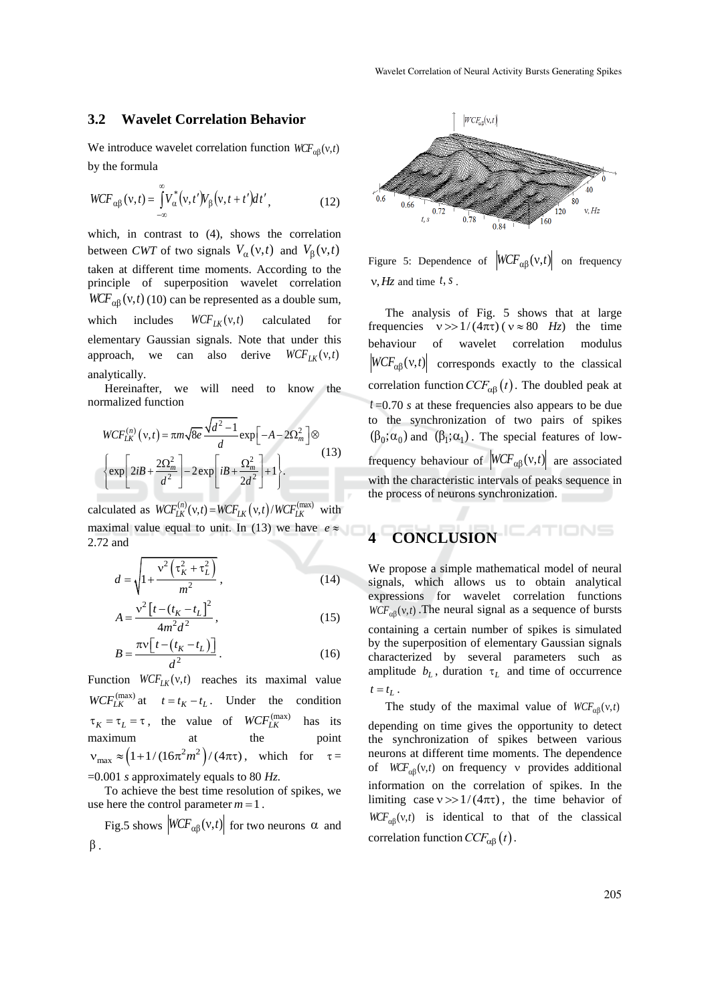#### **3.2 Wavelet Correlation Behavior**

We introduce wavelet correlation function  $WCF_{\alpha\beta}(v,t)$ by the formula

$$
WCF_{\alpha\beta}(v,t) = \int_{-\infty}^{\infty} V_{\alpha}^{*}(v,t')V_{\beta}(v,t+t')dt',
$$
\n(12)

which, in contrast to (4), shows the correlation between *CWT* of two signals  $V_\alpha(v,t)$  and  $V_\beta(v,t)$ taken at different time moments. According to the principle of superposition wavelet correlation  $WCF_{\alpha\beta}(v,t)$  (10) can be represented as a double sum, which includes  $WCF_{LK}(v, t)$  calculated for elementary Gaussian signals. Note that under this approach, we can also derive  $WCF_{LK}(v, t)$ analytically.

Hereinafter, we will need to know the normalized function

$$
WCF_{LK}^{(n)}(v,t) = \pi m \sqrt{8e} \frac{\sqrt{d^2 - 1}}{d} \exp\left[-A - 2\Omega_m^2\right] \otimes
$$
  

$$
\left\{ \exp\left[2iB + \frac{2\Omega_m^2}{d^2}\right] - 2\exp\left[iB + \frac{\Omega_m^2}{2d^2}\right] + 1 \right\}.
$$
 (13)

calculated as  $WCF_{LK}^{(n)}(v,t) = WCF_{LK}(v,t)/WCF_{LK}^{(max)}$  with maximal value equal to unit. In (13) we have  $e \approx$ 2.72 and

$$
d = \sqrt{1 + \frac{v^2 \left(\tau_K^2 + \tau_L^2\right)}{m^2}},
$$
\n(14)

$$
A = \frac{v^2 \left[t - (t_K - t_L)\right]^2}{4m^2 d^2},
$$
\n(15)

$$
B = \frac{\pi v \left[ t - \left( t_K - t_L \right) \right]}{d^2} \,. \tag{16}
$$

Function  $WCF_{LK}(v, t)$  reaches its maximal value  $WCF_{LK}^{(\text{max})}$  at  $t = t_K - t_L$ . Under the condition  $\tau_K = \tau_L = \tau$ , the value of  $WCF_{LK}^{(\text{max})}$ has its maximum at the point  $v_{\text{max}} \approx (1+1/(16\pi^2 m^2)/(4\pi t))$ , which for  $\tau =$ =0.001 *s* approximately equals to 80 *Hz.*

To achieve the best time resolution of spikes, we use here the control parameter  $m = 1$ .

Fig.5 shows  $|WCF_{\alpha\beta}(v,t)|$  for two neurons  $\alpha$  and  $\beta$ .



Figure 5: Dependence of  $|WCF_{\alpha\beta}(v,t)|$  on frequency  $v, Hz$  and time  $t, s$ .

The analysis of Fig. 5 shows that at large frequencies  $v \gg 1/(4\pi\tau)$  ( $v \approx 80$  *Hz*) the time behaviour of wavelet correlation modulus  $\left| WCF_{\alpha\beta}(v,t) \right|$  corresponds exactly to the classical correlation function  $CCF_{\alpha\beta}(t)$ . The doubled peak at *t* =0.70 *s* at these frequencies also appears to be due to the synchronization of two pairs of spikes  $(\beta_0; \alpha_0)$  and  $(\beta_1; \alpha_1)$ . The special features of lowfrequency behaviour of  $|WCF_{\alpha\beta}(v,t)|$  are associated with the characteristic intervals of peaks sequence in the process of neurons synchronization.

# **4 CONCLUSION**

We propose a simple mathematical model of neural signals, which allows us to obtain analytical expressions for wavelet correlation functions  $WCF_{\alpha\beta}(v,t)$ . The neural signal as a sequence of bursts containing a certain number of spikes is simulated by the superposition of elementary Gaussian signals characterized by several parameters such as amplitude  $b<sub>L</sub>$ , duration  $\tau<sub>L</sub>$  and time of occurrence  $t = t_L$ .

The study of the maximal value of  $WCF_{\alpha\beta}(v,t)$ 

depending on time gives the opportunity to detect the synchronization of spikes between various neurons at different time moments. The dependence of  $WCF_{\alpha\beta}(v,t)$  on frequency v provides additional information on the correlation of spikes. In the limiting case  $v \gg 1/(4\pi\tau)$ , the time behavior of  $WCF_{\alpha\beta}(v,t)$  is identical to that of the classical correlation function  $CCF_{\alpha\beta}(t)$ .